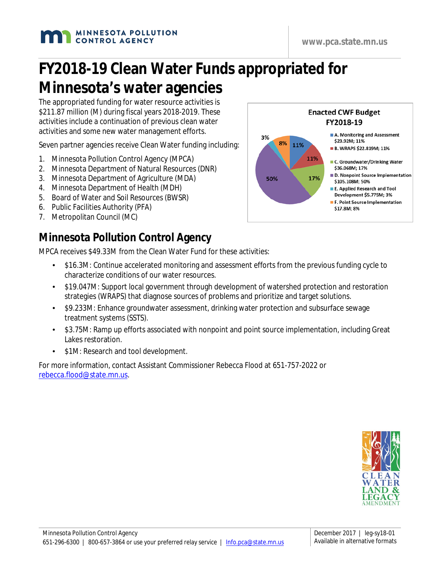#### **MINNESOTA POLLUTION CONTROL AGENCY**

# **FY2018-19 Clean Water Funds appropriated for Minnesota's water agencies**

The appropriated funding for water resource activities is \$211.87 million (M) during fiscal years 2018-2019. These activities include a continuation of previous clean water activities and some new water management efforts.

Seven partner agencies receive Clean Water funding including:

- 1. Minnesota Pollution Control Agency (MPCA)
- 2. Minnesota Department of Natural Resources (DNR)
- 3. Minnesota Department of Agriculture (MDA)
- 4. Minnesota Department of Health (MDH)
- 5. Board of Water and Soil Resources (BWSR)
- 6. Public Facilities Authority (PFA)
- 7. Metropolitan Council (MC)

#### **Minnesota Pollution Control Agency**

MPCA receives \$49.33M from the Clean Water Fund for these activities:

- \$16.3M: Continue accelerated monitoring and assessment efforts from the previous funding cycle to characterize conditions of our water resources.
- \$19.047M: Support local government through development of watershed protection and restoration strategies (WRAPS) that diagnose sources of problems and prioritize and target solutions.
- \$9.233M: Enhance groundwater assessment, drinking water protection and subsurface sewage treatment systems (SSTS).
- \$3.75M: Ramp up efforts associated with nonpoint and point source implementation, including Great Lakes restoration.
- \$1M: Research and tool development.

For more information, contact Assistant Commissioner Rebecca Flood at 651-757-2022 or [rebecca.flood@state.mn.us.](mailto:rebecca.flood@state.mn.us)



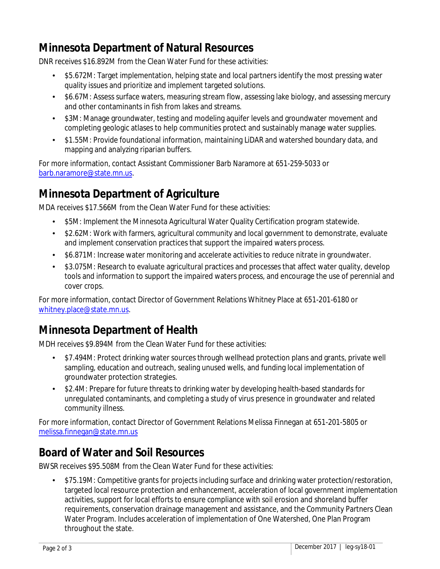#### **Minnesota Department of Natural Resources**

DNR receives \$16.892M from the Clean Water Fund for these activities:

- \$5.672M: Target implementation, helping state and local partners identify the most pressing water quality issues and prioritize and implement targeted solutions.
- \$6.67M: Assess surface waters, measuring stream flow, assessing lake biology, and assessing mercury and other contaminants in fish from lakes and streams.
- \$3M: Manage groundwater, testing and modeling aquifer levels and groundwater movement and completing geologic atlases to help communities protect and sustainably manage water supplies.
- \$1.55M: Provide foundational information, maintaining LiDAR and watershed boundary data, and mapping and analyzing riparian buffers.

For more information, contact Assistant Commissioner Barb Naramore at 651-259-5033 or [barb.naramore@state.mn.us.](mailto:barb.naramore@state.mn.us)

#### **Minnesota Department of Agriculture**

MDA receives \$17.566M from the Clean Water Fund for these activities:

- \$5M: Implement the Minnesota Agricultural Water Quality Certification program statewide.
- \$2.62M: Work with farmers, agricultural community and local government to demonstrate, evaluate and implement conservation practices that support the impaired waters process.
- \$6.871M: Increase water monitoring and accelerate activities to reduce nitrate in groundwater.
- \$3.075M: Research to evaluate agricultural practices and processes that affect water quality, develop tools and information to support the impaired waters process, and encourage the use of perennial and cover crops.

For more information, contact Director of Government Relations Whitney Place at 651-201-6180 or [whitney.place@state.mn.us.](mailto:whitney.place@state.mn.us)

#### **Minnesota Department of Health**

MDH receives \$9.894M from the Clean Water Fund for these activities:

- \$7.494M: Protect drinking water sources through wellhead protection plans and grants, private well sampling, education and outreach, sealing unused wells, and funding local implementation of groundwater protection strategies.
- \$2.4M: Prepare for future threats to drinking water by developing health-based standards for unregulated contaminants, and completing a study of virus presence in groundwater and related community illness.

For more information, contact Director of Government Relations Melissa Finnegan at 651-201-5805 or [melissa.finnegan@state.mn.us](mailto:melissa.finnegan@state.mn.us)

#### **Board of Water and Soil Resources**

BWSR receives \$95.508M from the Clean Water Fund for these activities:

\$75.19M: Competitive grants for projects including surface and drinking water protection/restoration, targeted local resource protection and enhancement, acceleration of local government implementation activities, support for local efforts to ensure compliance with soil erosion and shoreland buffer requirements, conservation drainage management and assistance, and the Community Partners Clean Water Program. Includes acceleration of implementation of One Watershed, One Plan Program throughout the state.